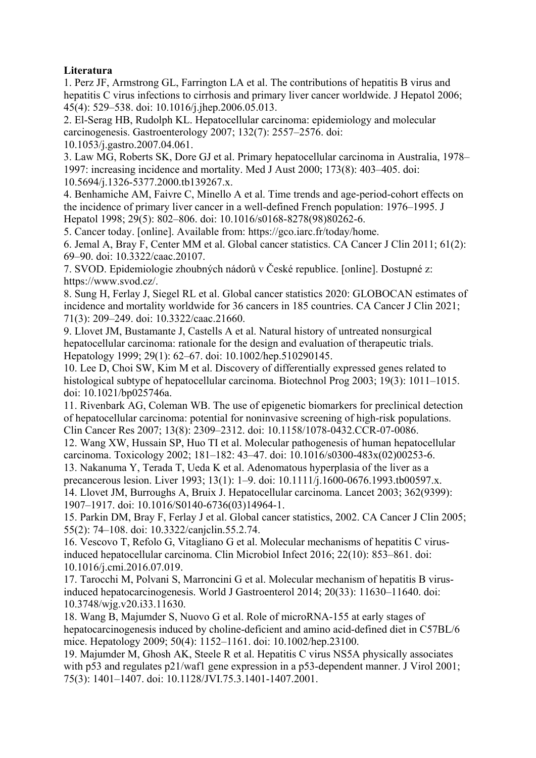## **Literatura**

1. Perz JF, Armstrong GL, Farrington LA et al. The contributions of hepatitis B virus and hepatitis C virus infections to cirrhosis and primary liver cancer worldwide. J Hepatol 2006; 45(4): 529–538. doi: 10.1016/j.jhep.2006.05.013.

2. El-Serag HB, Rudolph KL. Hepatocellular carcinoma: epidemiology and molecular carcinogenesis. Gastroenterology 2007; 132(7): 2557–2576. doi: 10.1053/j.gastro.2007.04.061.

3. Law MG, Roberts SK, Dore GJ et al. Primary hepatocellular carcinoma in Australia, 1978– 1997: increasing incidence and mortality. Med J Aust 2000; 173(8): 403–405. doi: 10.5694/j.1326-5377.2000.tb139267.x.

4. Benhamiche AM, Faivre C, Minello A et al. Time trends and age-period-cohort effects on the incidence of primary liver cancer in a well-defined French population: 1976–1995. J Hepatol 1998; 29(5): 802–806. doi: 10.1016/s0168-8278(98)80262-6.

5. Cancer today. [online]. Available from: https://gco.iarc.fr/today/home.

6. Jemal A, Bray F, Center MM et al. Global cancer statistics. CA Cancer J Clin 2011; 61(2): 69–90. doi: 10.3322/caac.20107.

7. SVOD. Epidemiologie zhoubných nádorů v České republice. [online]. Dostupné z: https://www.svod.cz/.

8. Sung H, Ferlay J, Siegel RL et al. Global cancer statistics 2020: GLOBOCAN estimates of incidence and mortality worldwide for 36 cancers in 185 countries. CA Cancer J Clin 2021; 71(3): 209–249. doi: 10.3322/caac.21660.

9. Llovet JM, Bustamante J, Castells A et al. Natural history of untreated nonsurgical hepatocellular carcinoma: rationale for the design and evaluation of therapeutic trials. Hepatology 1999; 29(1): 62–67. doi: 10.1002/hep.510290145.

10. Lee D, Choi SW, Kim M et al. Discovery of differentially expressed genes related to histological subtype of hepatocellular carcinoma. Biotechnol Prog 2003; 19(3): 1011–1015. doi: 10.1021/bp025746a.

11. Rivenbark AG, Coleman WB. The use of epigenetic biomarkers for preclinical detection of hepatocellular carcinoma: potential for noninvasive screening of high-risk populations. Clin Cancer Res 2007; 13(8): 2309–2312. doi: 10.1158/1078-0432.CCR-07-0086.

12. Wang XW, Hussain SP, Huo TI et al. Molecular pathogenesis of human hepatocellular carcinoma. Toxicology 2002; 181–182: 43–47. doi: 10.1016/s0300-483x(02)00253-6.

13. Nakanuma Y, Terada T, Ueda K et al. Adenomatous hyperplasia of the liver as a precancerous lesion. Liver 1993; 13(1): 1–9. doi: 10.1111/j.1600-0676.1993.tb00597.x. 14. Llovet JM, Burroughs A, Bruix J. Hepatocellular carcinoma. Lancet 2003; 362(9399):

1907–1917. doi: 10.1016/S0140-6736(03)14964-1.

15. Parkin DM, Bray F, Ferlay J et al. Global cancer statistics, 2002. CA Cancer J Clin 2005; 55(2): 74–108. doi: 10.3322/canjclin.55.2.74.

16. Vescovo T, Refolo G, Vitagliano G et al. Molecular mechanisms of hepatitis C virusinduced hepatocellular carcinoma. Clin Microbiol Infect 2016; 22(10): 853–861. doi: 10.1016/j.cmi.2016.07.019.

17. Tarocchi M, Polvani S, Marroncini G et al. Molecular mechanism of hepatitis B virusinduced hepatocarcinogenesis. World J Gastroenterol 2014; 20(33): 11630–11640. doi: 10.3748/wjg.v20.i33.11630.

18. Wang B, Majumder S, Nuovo G et al. Role of microRNA-155 at early stages of hepatocarcinogenesis induced by choline-deficient and amino acid-defined diet in C57BL/6 mice. Hepatology 2009; 50(4): 1152–1161. doi: 10.1002/hep.23100.

19. Majumder M, Ghosh AK, Steele R et al. Hepatitis C virus NS5A physically associates with p53 and regulates p21/waf1 gene expression in a p53-dependent manner. J Virol 2001; 75(3): 1401–1407. doi: 10.1128/JVI.75.3.1401-1407.2001.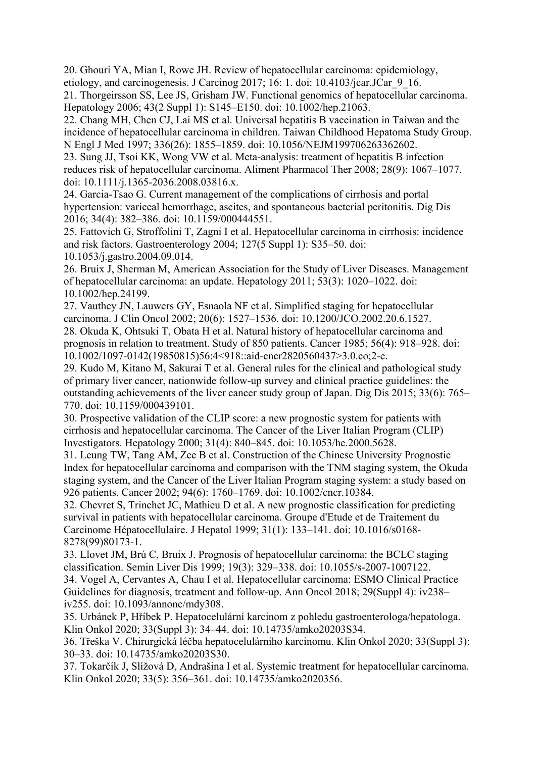20. Ghouri YA, Mian I, Rowe JH. Review of hepatocellular carcinoma: epidemiology, etiology, and carcinogenesis. J Carcinog 2017; 16: 1. doi: 10.4103/jcar.JCar\_9\_16.

21. Thorgeirsson SS, Lee JS, Grisham JW. Functional genomics of hepatocellular carcinoma. Hepatology 2006; 43(2 Suppl 1): S145–E150. doi: 10.1002/hep.21063.

22. Chang MH, Chen CJ, Lai MS et al. Universal hepatitis B vaccination in Taiwan and the incidence of hepatocellular carcinoma in children. Taiwan Childhood Hepatoma Study Group. N Engl J Med 1997; 336(26): 1855–1859. doi: 10.1056/NEJM199706263362602.

23. Sung JJ, Tsoi KK, Wong VW et al. Meta-analysis: treatment of hepatitis B infection reduces risk of hepatocellular carcinoma. Aliment Pharmacol Ther 2008; 28(9): 1067–1077. doi: 10.1111/j.1365-2036.2008.03816.x.

24. Garcia-Tsao G. Current management of the complications of cirrhosis and portal hypertension: variceal hemorrhage, ascites, and spontaneous bacterial peritonitis. Dig Dis 2016; 34(4): 382–386. doi: 10.1159/000444551.

25. Fattovich G, Stroffolini T, Zagni I et al. Hepatocellular carcinoma in cirrhosis: incidence and risk factors. Gastroenterology 2004; 127(5 Suppl 1): S35–50. doi: 10.1053/j.gastro.2004.09.014.

26. Bruix J, Sherman M, American Association for the Study of Liver Diseases. Management of hepatocellular carcinoma: an update. Hepatology 2011; 53(3): 1020–1022. doi: 10.1002/hep.24199.

27. Vauthey JN, Lauwers GY, Esnaola NF et al. Simplified staging for hepatocellular carcinoma. J Clin Oncol 2002; 20(6): 1527–1536. doi: 10.1200/JCO.2002.20.6.1527.

28. Okuda K, Ohtsuki T, Obata H et al. Natural history of hepatocellular carcinoma and prognosis in relation to treatment. Study of 850 patients. Cancer 1985; 56(4): 918–928. doi: 10.1002/1097-0142(19850815)56:4<918::aid-cncr2820560437>3.0.co;2-e.

29. Kudo M, Kitano M, Sakurai T et al. General rules for the clinical and pathological study of primary liver cancer, nationwide follow-up survey and clinical practice guidelines: the outstanding achievements of the liver cancer study group of Japan. Dig Dis 2015; 33(6): 765– 770. doi: 10.1159/000439101.

30. Prospective validation of the CLIP score: a new prognostic system for patients with cirrhosis and hepatocellular carcinoma. The Cancer of the Liver Italian Program (CLIP) Investigators. Hepatology 2000; 31(4): 840–845. doi: 10.1053/he.2000.5628.

31. Leung TW, Tang AM, Zee B et al. Construction of the Chinese University Prognostic Index for hepatocellular carcinoma and comparison with the TNM staging system, the Okuda staging system, and the Cancer of the Liver Italian Program staging system: a study based on 926 patients. Cancer 2002; 94(6): 1760–1769. doi: 10.1002/cncr.10384.

32. Chevret S, Trinchet JC, Mathieu D et al. A new prognostic classification for predicting survival in patients with hepatocellular carcinoma. Groupe d'Etude et de Traitement du Carcinome Hépatocellulaire. J Hepatol 1999; 31(1): 133–141. doi: 10.1016/s0168- 8278(99)80173-1.

33. Llovet JM, Brú C, Bruix J. Prognosis of hepatocellular carcinoma: the BCLC staging classification. Semin Liver Dis 1999; 19(3): 329–338. doi: 10.1055/s-2007-1007122. 34. Vogel A, Cervantes A, Chau I et al. Hepatocellular carcinoma: ESMO Clinical Practice Guidelines for diagnosis, treatment and follow-up. Ann Oncol 2018; 29(Suppl 4): iv238– iv255. doi: 10.1093/annonc/mdy308.

35. Urbánek P, Hříbek P. Hepatocelulární karcinom z pohledu gastroenterologa/hepatologa. Klin Onkol 2020; 33(Suppl 3): 34–44. doi: 10.14735/amko20203S34.

36. Třeška V. Chirurgická léčba hepatocelulárního karcinomu. Klin Onkol 2020; 33(Suppl 3): 30–33. doi: 10.14735/amko20203S30.

37. Tokarčík J, Slížová D, Andrašina I et al. Systemic treatment for hepatocellular carcinoma. Klin Onkol 2020; 33(5): 356–361. doi: 10.14735/amko2020356.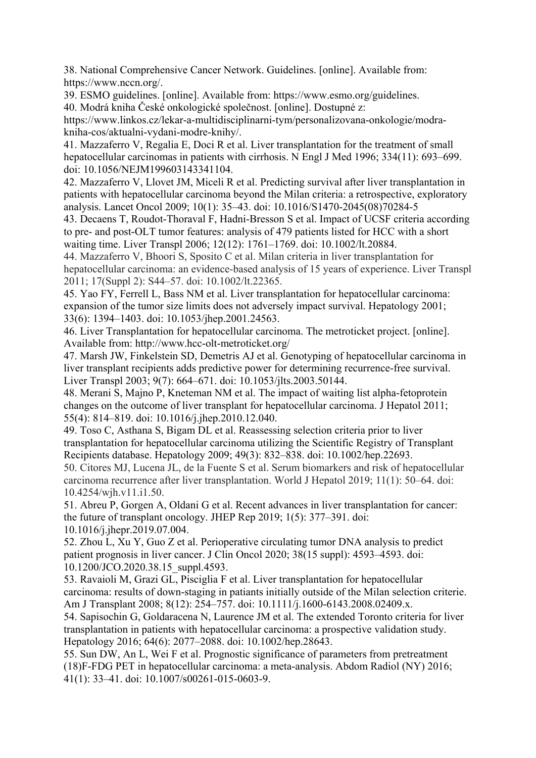38. National Comprehensive Cancer Network. Guidelines. [online]. Available from: https://www.nccn.org/.

39. ESMO guidelines. [online]. Available from: https://www.esmo.org/guidelines. 40. Modrá kniha České onkologické společnost. [online]. Dostupné z:

https://www.linkos.cz/lekar-a-multidisciplinarni-tym/personalizovana-onkologie/modrakniha-cos/aktualni-vydani-modre-knihy/.

41. Mazzaferro V, Regalia E, Doci R et al. Liver transplantation for the treatment of small hepatocellular carcinomas in patients with cirrhosis. N Engl J Med 1996; 334(11): 693–699. doi: 10.1056/NEJM199603143341104.

42. Mazzaferro V, Llovet JM, Miceli R et al. Predicting survival after liver transplantation in patients with hepatocellular carcinoma beyond the Milan criteria: a retrospective, exploratory analysis. Lancet Oncol 2009; 10(1): 35–43. doi: 10.1016/S1470-2045(08)70284-5

43. Decaens T, Roudot-Thoraval F, Hadni-Bresson S et al. Impact of UCSF criteria according to pre- and post-OLT tumor features: analysis of 479 patients listed for HCC with a short waiting time. Liver Transpl 2006; 12(12): 1761–1769. doi: 10.1002/lt.20884.

44. Mazzaferro V, Bhoori S, Sposito C et al. Milan criteria in liver transplantation for hepatocellular carcinoma: an evidence-based analysis of 15 years of experience. Liver Transpl 2011; 17(Suppl 2): S44–57. doi: 10.1002/lt.22365.

45. Yao FY, Ferrell L, Bass NM et al. Liver transplantation for hepatocellular carcinoma: expansion of the tumor size limits does not adversely impact survival. Hepatology 2001; 33(6): 1394–1403. doi: 10.1053/jhep.2001.24563.

46. Liver Transplantation for hepatocellular carcinoma. The metroticket project. [online]. Available from: http://www.hcc-olt-metroticket.org/

47. Marsh JW, Finkelstein SD, Demetris AJ et al. Genotyping of hepatocellular carcinoma in liver transplant recipients adds predictive power for determining recurrence-free survival. Liver Transpl 2003; 9(7): 664–671. doi: 10.1053/jlts.2003.50144.

48. Merani S, Majno P, Kneteman NM et al. The impact of waiting list alpha-fetoprotein changes on the outcome of liver transplant for hepatocellular carcinoma. J Hepatol 2011; 55(4): 814–819. doi: 10.1016/j.jhep.2010.12.040.

49. Toso C, Asthana S, Bigam DL et al. Reassessing selection criteria prior to liver transplantation for hepatocellular carcinoma utilizing the Scientific Registry of Transplant Recipients database. Hepatology 2009; 49(3): 832–838. doi: 10.1002/hep.22693.

50. Citores MJ, Lucena JL, de la Fuente S et al. Serum biomarkers and risk of hepatocellular carcinoma recurrence after liver transplantation. World J Hepatol 2019; 11(1): 50–64. doi: 10.4254/wjh.v11.i1.50.

51. Abreu P, Gorgen A, Oldani G et al. Recent advances in liver transplantation for cancer: the future of transplant oncology. JHEP Rep 2019; 1(5): 377–391. doi: 10.1016/j.jhepr.2019.07.004.

52. Zhou L, Xu Y, Guo Z et al. Perioperative circulating tumor DNA analysis to predict patient prognosis in liver cancer. J Clin Oncol 2020; 38(15 suppl): 4593–4593. doi: 10.1200/JCO.2020.38.15\_suppl.4593.

53. Ravaioli M, Grazi GL, Pisciglia F et al. Liver transplantation for hepatocellular carcinoma: results of down-staging in patiants initially outside of the Milan selection criterie. Am J Transplant 2008; 8(12): 254–757. doi: 10.1111/j.1600-6143.2008.02409.x.

54. Sapisochin G, Goldaracena N, Laurence JM et al. The extended Toronto criteria for liver transplantation in patients with hepatocellular carcinoma: a prospective validation study. Hepatology 2016; 64(6): 2077–2088. doi: 10.1002/hep.28643.

55. Sun DW, An L, Wei F et al. Prognostic significance of parameters from pretreatment (18)F-FDG PET in hepatocellular carcinoma: a meta-analysis. Abdom Radiol (NY) 2016; 41(1): 33–41. doi: 10.1007/s00261-015-0603-9.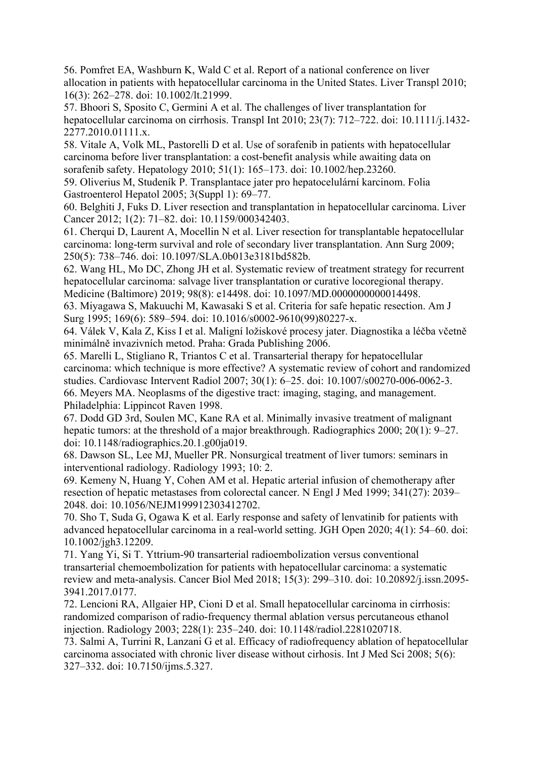56. Pomfret EA, Washburn K, Wald C et al. Report of a national conference on liver allocation in patients with hepatocellular carcinoma in the United States. Liver Transpl 2010; 16(3): 262–278. doi: 10.1002/lt.21999.

57. Bhoori S, Sposito C, Germini A et al. The challenges of liver transplantation for hepatocellular carcinoma on cirrhosis. Transpl Int 2010; 23(7): 712–722. doi: 10.1111/j.1432- 2277.2010.01111.x.

58. Vitale A, Volk ML, Pastorelli D et al. Use of sorafenib in patients with hepatocellular carcinoma before liver transplantation: a cost-benefit analysis while awaiting data on sorafenib safety. Hepatology 2010; 51(1): 165–173. doi: 10.1002/hep.23260.

59. Oliverius M, Studeník P. Transplantace jater pro hepatocelulární karcinom. Folia Gastroenterol Hepatol 2005; 3(Suppl 1): 69–77.

60. Belghiti J, Fuks D. Liver resection and transplantation in hepatocellular carcinoma. Liver Cancer 2012; 1(2): 71–82. doi: 10.1159/000342403.

61. Cherqui D, Laurent A, Mocellin N et al. Liver resection for transplantable hepatocellular carcinoma: long-term survival and role of secondary liver transplantation. Ann Surg 2009; 250(5): 738–746. doi: 10.1097/SLA.0b013e3181bd582b.

62. Wang HL, Mo DC, Zhong JH et al. Systematic review of treatment strategy for recurrent hepatocellular carcinoma: salvage liver transplantation or curative locoregional therapy. Medicine (Baltimore) 2019; 98(8): e14498. doi: 10.1097/MD.0000000000014498.

63. Miyagawa S, Makuuchi M, Kawasaki S et al. Criteria for safe hepatic resection. Am J Surg 1995; 169(6): 589–594. doi: 10.1016/s0002-9610(99)80227-x.

64. Válek V, Kala Z, Kiss I et al. Maligní ložiskové procesy jater. Diagnostika a léčba včetně minimálně invazivních metod. Praha: Grada Publishing 2006.

65. Marelli L, Stigliano R, Triantos C et al. Transarterial therapy for hepatocellular carcinoma: which technique is more effective? A systematic review of cohort and randomized studies. Cardiovasc Intervent Radiol 2007; 30(1): 6–25. doi: 10.1007/s00270-006-0062-3. 66. Meyers MA. Neoplasms of the digestive tract: imaging, staging, and management. Philadelphia: Lippincot Raven 1998.

67. Dodd GD 3rd, Soulen MC, Kane RA et al. Minimally invasive treatment of malignant hepatic tumors: at the threshold of a major breakthrough. Radiographics 2000; 20(1): 9–27. doi: 10.1148/radiographics.20.1.g00ja019.

68. Dawson SL, Lee MJ, Mueller PR. Nonsurgical treatment of liver tumors: seminars in interventional radiology. Radiology 1993; 10: 2.

69. Kemeny N, Huang Y, Cohen AM et al. Hepatic arterial infusion of chemotherapy after resection of hepatic metastases from colorectal cancer. N Engl J Med 1999; 341(27): 2039– 2048. doi: 10.1056/NEJM199912303412702.

70. Sho T, Suda G, Ogawa K et al. Early response and safety of lenvatinib for patients with advanced hepatocellular carcinoma in a real-world setting. JGH Open 2020; 4(1): 54–60. doi: 10.1002/jgh3.12209.

71. Yang Yi, Si T. Yttrium-90 transarterial radioembolization versus conventional transarterial chemoembolization for patients with hepatocellular carcinoma: a systematic review and meta-analysis. Cancer Biol Med 2018; 15(3): 299–310. doi: 10.20892/j.issn.2095- 3941.2017.0177.

72. Lencioni RA, Allgaier HP, Cioni D et al. Small hepatocellular carcinoma in cirrhosis: randomized comparison of radio-frequency thermal ablation versus percutaneous ethanol injection. Radiology 2003; 228(1): 235–240. doi: 10.1148/radiol.2281020718.

73. Salmi A, Turrini R, Lanzani G et al. Efficacy of radiofrequency ablation of hepatocellular carcinoma associated with chronic liver disease without cirhosis. Int J Med Sci 2008; 5(6): 327–332. doi: 10.7150/ijms.5.327.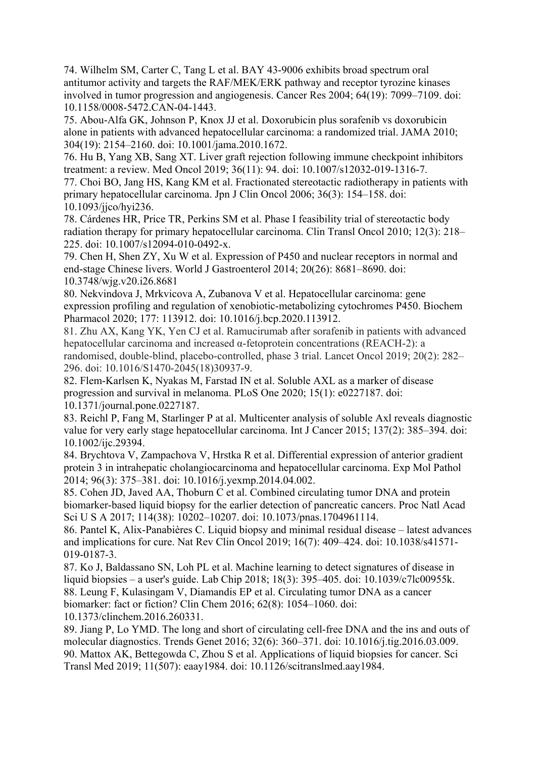74. Wilhelm SM, Carter C, Tang L et al. BAY 43-9006 exhibits broad spectrum oral antitumor activity and targets the RAF/MEK/ERK pathway and receptor tyrozine kinases involved in tumor progression and angiogenesis. Cancer Res 2004; 64(19): 7099–7109. doi: 10.1158/0008-5472.CAN-04-1443.

75. Abou-Alfa GK, Johnson P, Knox JJ et al. Doxorubicin plus sorafenib vs doxorubicin alone in patients with advanced hepatocellular carcinoma: a randomized trial. JAMA 2010; 304(19): 2154–2160. doi: 10.1001/jama.2010.1672.

76. Hu B, Yang XB, Sang XT. Liver graft rejection following immune checkpoint inhibitors treatment: a review. Med Oncol 2019; 36(11): 94. doi: 10.1007/s12032-019-1316-7.

77. Choi BO, Jang HS, Kang KM et al. Fractionated stereotactic radiotherapy in patients with primary hepatocellular carcinoma. Jpn J Clin Oncol 2006; 36(3): 154–158. doi: 10.1093/jjco/hyi236.

78. Cárdenes HR, Price TR, Perkins SM et al. Phase I feasibility trial of stereotactic body radiation therapy for primary hepatocellular carcinoma. Clin Transl Oncol 2010; 12(3): 218– 225. doi: 10.1007/s12094-010-0492-x.

79. Chen H, Shen ZY, Xu W et al. Expression of P450 and nuclear receptors in normal and end-stage Chinese livers. World J Gastroenterol 2014; 20(26): 8681–8690. doi: 10.3748/wjg.v20.i26.8681

80. Nekvindova J, Mrkvicova A, Zubanova V et al. Hepatocellular carcinoma: gene expression profiling and regulation of xenobiotic-metabolizing cytochromes P450. Biochem Pharmacol 2020; 177: 113912. doi: 10.1016/j.bcp.2020.113912.

81. Zhu AX, Kang YK, Yen CJ et al. Ramucirumab after sorafenib in patients with advanced hepatocellular carcinoma and increased α-fetoprotein concentrations (REACH-2): a randomised, double-blind, placebo-controlled, phase 3 trial. Lancet Oncol 2019; 20(2): 282– 296. doi: 10.1016/S1470-2045(18)30937-9.

82. Flem-Karlsen K, Nyakas M, Farstad IN et al. Soluble AXL as a marker of disease progression and survival in melanoma. PLoS One 2020; 15(1): e0227187. doi: 10.1371/journal.pone.0227187.

83. Reichl P, Fang M, Starlinger P at al. Multicenter analysis of soluble Axl reveals diagnostic value for very early stage hepatocellular carcinoma. Int J Cancer 2015; 137(2): 385–394. doi: 10.1002/ijc.29394.

84. Brychtova V, Zampachova V, Hrstka R et al. Differential expression of anterior gradient protein 3 in intrahepatic cholangiocarcinoma and hepatocellular carcinoma. Exp Mol Pathol 2014; 96(3): 375–381. doi: 10.1016/j.yexmp.2014.04.002.

85. Cohen JD, Javed AA, Thoburn C et al. Combined circulating tumor DNA and protein biomarker-based liquid biopsy for the earlier detection of pancreatic cancers. Proc Natl Acad Sci U S A 2017; 114(38): 10202–10207. doi: 10.1073/pnas.1704961114.

86. Pantel K, Alix-Panabières C. Liquid biopsy and minimal residual disease – latest advances and implications for cure. Nat Rev Clin Oncol 2019; 16(7): 409–424. doi: 10.1038/s41571- 019-0187-3.

87. Ko J, Baldassano SN, Loh PL et al. Machine learning to detect signatures of disease in liquid biopsies – a user's guide. Lab Chip 2018; 18(3): 395–405. doi: 10.1039/c7lc00955k. 88. Leung F, Kulasingam V, Diamandis EP et al. Circulating tumor DNA as a cancer biomarker: fact or fiction? Clin Chem 2016; 62(8): 1054–1060. doi:

10.1373/clinchem.2016.260331.

89. Jiang P, Lo YMD. The long and short of circulating cell-free DNA and the ins and outs of molecular diagnostics. Trends Genet 2016; 32(6): 360–371. doi: 10.1016/j.tig.2016.03.009. 90. Mattox AK, Bettegowda C, Zhou S et al. Applications of liquid biopsies for cancer. Sci Transl Med 2019; 11(507): eaay1984. doi: 10.1126/scitranslmed.aay1984.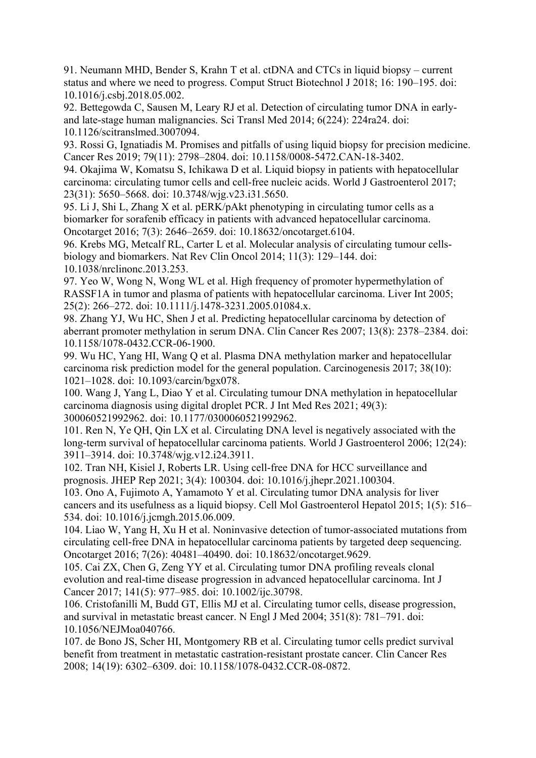91. Neumann MHD, Bender S, Krahn T et al. ctDNA and CTCs in liquid biopsy – current status and where we need to progress. Comput Struct Biotechnol J 2018; 16: 190–195. doi: 10.1016/j.csbj.2018.05.002.

92. Bettegowda C, Sausen M, Leary RJ et al. Detection of circulating tumor DNA in earlyand late-stage human malignancies. Sci Transl Med 2014; 6(224): 224ra24. doi: 10.1126/scitranslmed.3007094.

93. Rossi G, Ignatiadis M. Promises and pitfalls of using liquid biopsy for precision medicine. Cancer Res 2019; 79(11): 2798–2804. doi: 10.1158/0008-5472.CAN-18-3402.

94. Okajima W, Komatsu S, Ichikawa D et al. Liquid biopsy in patients with hepatocellular carcinoma: circulating tumor cells and cell-free nucleic acids. World J Gastroenterol 2017; 23(31): 5650–5668. doi: 10.3748/wjg.v23.i31.5650.

95. Li J, Shi L, Zhang X et al. pERK/pAkt phenotyping in circulating tumor cells as a biomarker for sorafenib efficacy in patients with advanced hepatocellular carcinoma. Oncotarget 2016; 7(3): 2646–2659. doi: 10.18632/oncotarget.6104.

96. Krebs MG, Metcalf RL, Carter L et al. Molecular analysis of circulating tumour cellsbiology and biomarkers. Nat Rev Clin Oncol 2014; 11(3): 129–144. doi: 10.1038/nrclinonc.2013.253.

97. Yeo W, Wong N, Wong WL et al. High frequency of promoter hypermethylation of RASSF1A in tumor and plasma of patients with hepatocellular carcinoma. Liver Int 2005; 25(2): 266–272. doi: 10.1111/j.1478-3231.2005.01084.x.

98. Zhang YJ, Wu HC, Shen J et al. Predicting hepatocellular carcinoma by detection of aberrant promoter methylation in serum DNA. Clin Cancer Res 2007; 13(8): 2378–2384. doi: 10.1158/1078-0432.CCR-06-1900.

99. Wu HC, Yang HI, Wang Q et al. Plasma DNA methylation marker and hepatocellular carcinoma risk prediction model for the general population. Carcinogenesis 2017; 38(10): 1021–1028. doi: 10.1093/carcin/bgx078.

100. Wang J, Yang L, Diao Y et al. Circulating tumour DNA methylation in hepatocellular carcinoma diagnosis using digital droplet PCR. J Int Med Res 2021; 49(3): 300060521992962. doi: 10.1177/0300060521992962.

101. Ren N, Ye QH, Qin LX et al. Circulating DNA level is negatively associated with the long-term survival of hepatocellular carcinoma patients. World J Gastroenterol 2006; 12(24): 3911–3914. doi: 10.3748/wjg.v12.i24.3911.

102. Tran NH, Kisiel J, Roberts LR. Using cell-free DNA for HCC surveillance and prognosis. JHEP Rep 2021; 3(4): 100304. doi: 10.1016/j.jhepr.2021.100304.

103. Ono A, Fujimoto A, Yamamoto Y et al. Circulating tumor DNA analysis for liver cancers and its usefulness as a liquid biopsy. Cell Mol Gastroenterol Hepatol 2015; 1(5): 516– 534. doi: 10.1016/j.jcmgh.2015.06.009.

104. Liao W, Yang H, Xu H et al. Noninvasive detection of tumor-associated mutations from circulating cell-free DNA in hepatocellular carcinoma patients by targeted deep sequencing. Oncotarget 2016; 7(26): 40481–40490. doi: 10.18632/oncotarget.9629.

105. Cai ZX, Chen G, Zeng YY et al. Circulating tumor DNA profiling reveals clonal evolution and real-time disease progression in advanced hepatocellular carcinoma. Int J Cancer 2017; 141(5): 977–985. doi: 10.1002/ijc.30798.

106. Cristofanilli M, Budd GT, Ellis MJ et al. Circulating tumor cells, disease progression, and survival in metastatic breast cancer. N Engl J Med 2004; 351(8): 781–791. doi: 10.1056/NEJMoa040766.

107. de Bono JS, Scher HI, Montgomery RB et al. Circulating tumor cells predict survival benefit from treatment in metastatic castration-resistant prostate cancer. Clin Cancer Res 2008; 14(19): 6302–6309. doi: 10.1158/1078-0432.CCR-08-0872.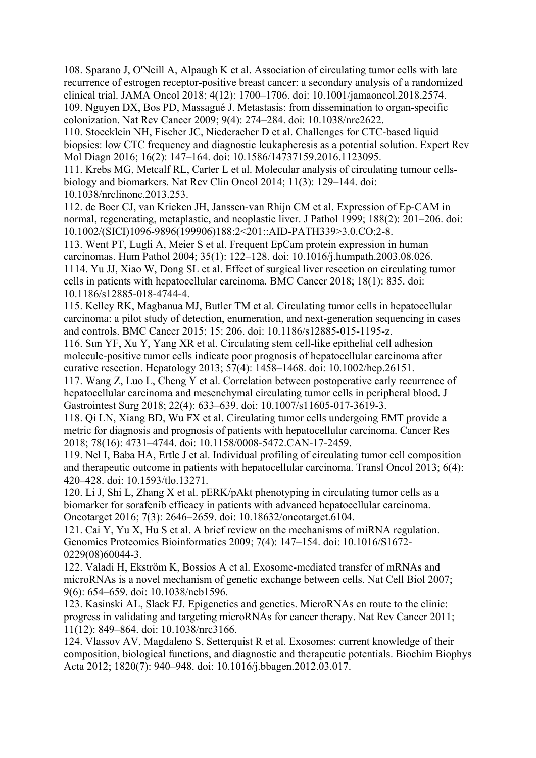108. Sparano J, O'Neill A, Alpaugh K et al. Association of circulating tumor cells with late recurrence of estrogen receptor-positive breast cancer: a secondary analysis of a randomized clinical trial. JAMA Oncol 2018; 4(12): 1700–1706. doi: 10.1001/jamaoncol.2018.2574. 109. Nguyen DX, Bos PD, Massagué J. Metastasis: from dissemination to organ-specific colonization. Nat Rev Cancer 2009; 9(4): 274–284. doi: 10.1038/nrc2622.

110. Stoecklein NH, Fischer JC, Niederacher D et al. Challenges for CTC-based liquid biopsies: low CTC frequency and diagnostic leukapheresis as a potential solution. Expert Rev Mol Diagn 2016; 16(2): 147–164. doi: 10.1586/14737159.2016.1123095.

111. Krebs MG, Metcalf RL, Carter L et al. Molecular analysis of circulating tumour cellsbiology and biomarkers. Nat Rev Clin Oncol 2014; 11(3): 129–144. doi: 10.1038/nrclinonc.2013.253.

112. de Boer CJ, van Krieken JH, Janssen-van Rhijn CM et al. Expression of Ep-CAM in normal, regenerating, metaplastic, and neoplastic liver. J Pathol 1999; 188(2): 201–206. doi: 10.1002/(SICI)1096-9896(199906)188:2<201::AID-PATH339>3.0.CO;2-8.

113. Went PT, Lugli A, Meier S et al. Frequent EpCam protein expression in human carcinomas. Hum Pathol 2004; 35(1): 122–128. doi: 10.1016/j.humpath.2003.08.026. 1114. Yu JJ, Xiao W, Dong SL et al. Effect of surgical liver resection on circulating tumor cells in patients with hepatocellular carcinoma. BMC Cancer 2018; 18(1): 835. doi: 10.1186/s12885-018-4744-4.

115. Kelley RK, Magbanua MJ, Butler TM et al. Circulating tumor cells in hepatocellular carcinoma: a pilot study of detection, enumeration, and next-generation sequencing in cases and controls. BMC Cancer 2015; 15: 206. doi: 10.1186/s12885-015-1195-z.

116. Sun YF, Xu Y, Yang XR et al. Circulating stem cell-like epithelial cell adhesion molecule-positive tumor cells indicate poor prognosis of hepatocellular carcinoma after curative resection. Hepatology 2013; 57(4): 1458–1468. doi: 10.1002/hep.26151.

117. Wang Z, Luo L, Cheng Y et al. Correlation between postoperative early recurrence of hepatocellular carcinoma and mesenchymal circulating tumor cells in peripheral blood. J Gastrointest Surg 2018; 22(4): 633–639. doi: 10.1007/s11605-017-3619-3.

118. Qi LN, Xiang BD, Wu FX et al. Circulating tumor cells undergoing EMT provide a metric for diagnosis and prognosis of patients with hepatocellular carcinoma. Cancer Res 2018; 78(16): 4731–4744. doi: 10.1158/0008-5472.CAN-17-2459.

119. Nel I, Baba HA, Ertle J et al. Individual profiling of circulating tumor cell composition and therapeutic outcome in patients with hepatocellular carcinoma. Transl Oncol 2013; 6(4): 420–428. doi: 10.1593/tlo.13271.

120. Li J, Shi L, Zhang X et al. pERK/pAkt phenotyping in circulating tumor cells as a biomarker for sorafenib efficacy in patients with advanced hepatocellular carcinoma. Oncotarget 2016; 7(3): 2646–2659. doi: 10.18632/oncotarget.6104.

121. Cai Y, Yu X, Hu S et al. A brief review on the mechanisms of miRNA regulation. Genomics Proteomics Bioinformatics 2009; 7(4): 147–154. doi: 10.1016/S1672- 0229(08)60044-3.

122. Valadi H, Ekström K, Bossios A et al. Exosome-mediated transfer of mRNAs and microRNAs is a novel mechanism of genetic exchange between cells. Nat Cell Biol 2007; 9(6): 654–659. doi: 10.1038/ncb1596.

123. Kasinski AL, Slack FJ. Epigenetics and genetics. MicroRNAs en route to the clinic: progress in validating and targeting microRNAs for cancer therapy. Nat Rev Cancer 2011; 11(12): 849–864. doi: 10.1038/nrc3166.

124. Vlassov AV, Magdaleno S, Setterquist R et al. Exosomes: current knowledge of their composition, biological functions, and diagnostic and therapeutic potentials. Biochim Biophys Acta 2012; 1820(7): 940–948. doi: 10.1016/j.bbagen.2012.03.017.